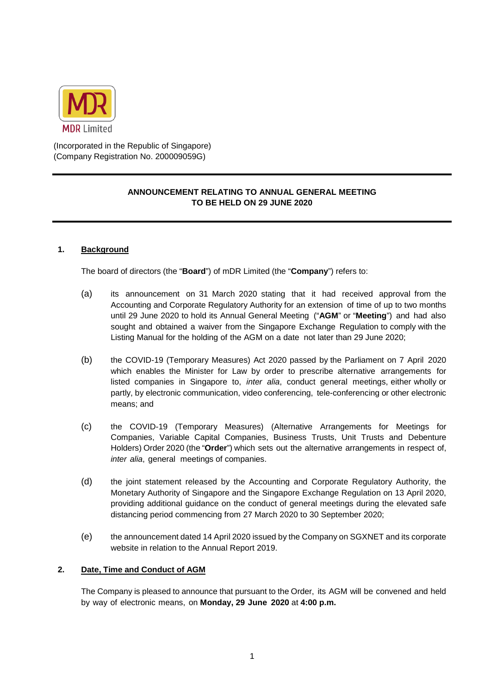

(Incorporated in the Republic of Singapore) (Company Registration No. 200009059G)

# **ANNOUNCEMENT RELATING TO ANNUAL GENERAL MEETING TO BE HELD ON 29 JUNE 2020**

## **1. Background**

The board of directors (the "**Board**") of mDR Limited (the "**Company**") refers to:

- (a) its announcement on 31 March 2020 stating that it had received approval from the Accounting and Corporate Regulatory Authority for an extension of time of up to two months until 29 June 2020 to hold its Annual General Meeting ("**AGM**" or "**Meeting**") and had also sought and obtained a waiver from the Singapore Exchange Regulation to comply with the Listing Manual for the holding of the AGM on a date not later than 29 June 2020;
- (b) the COVID-19 (Temporary Measures) Act 2020 passed by the Parliament on 7 April 2020 which enables the Minister for Law by order to prescribe alternative arrangements for listed companies in Singapore to, *inter alia*, conduct general meetings, either wholly or partly, by electronic communication, video conferencing, tele-conferencing or other electronic means; and
- (c) the COVID-19 (Temporary Measures) (Alternative Arrangements for Meetings for Companies, Variable Capital Companies, Business Trusts, Unit Trusts and Debenture Holders) Order 2020 (the "**Order**") which sets out the alternative arrangements in respect of, *inter alia*, general meetings of companies.
- (d) the joint statement released by the Accounting and Corporate Regulatory Authority, the Monetary Authority of Singapore and the Singapore Exchange Regulation on 13 April 2020, providing additional guidance on the conduct of general meetings during the elevated safe distancing period commencing from 27 March 2020 to 30 September 2020;
- (e) the announcement dated 14 April 2020 issued by the Company on SGXNET and its corporate website in relation to the Annual Report 2019.

#### **2. Date, Time and Conduct of AGM**

The Company is pleased to announce that pursuant to the Order, its AGM will be convened and held by way of electronic means, on **Monday, 29 June 2020** at **4:00 p.m.**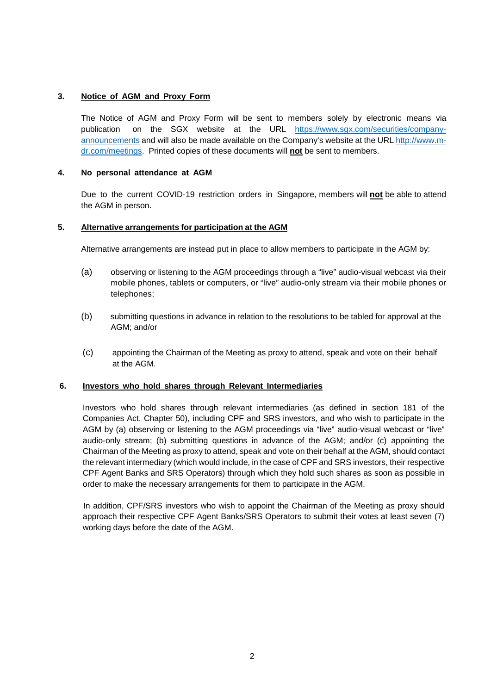## **3. Notice of AGM and Proxy Form**

The Notice of AGM and Proxy Form will be sent to members solely by electronic means via publication on the SGX website at the URL [https://www.sgx.com/securities/company](https://www.sgx.com/securities/company-announcements)[announcements](https://www.sgx.com/securities/company-announcements) and will also be made available on the Company's website at the URL [http://www.m](http://www.m-dr.com/meetings)[dr.com/meetings.](http://www.m-dr.com/meetings) Printed copies of these documents will **not** be sent to members.

### **4. No personal attendance at AGM**

Due to the current COVID-19 restriction orders in Singapore, members will **not** be able to attend the AGM in person.

## **5. Alternative arrangements for participation at the AGM**

Alternative arrangements are instead put in place to allow members to participate in the AGM by:

- (a) observing or listening to the AGM proceedings through a "live" audio-visual webcast via their mobile phones, tablets or computers, or "live" audio-only stream via their mobile phones or telephones;
- (b) submitting questions in advance in relation to the resolutions to be tabled for approval at the AGM; and/or
- (c) appointing the Chairman of the Meeting as proxy to attend, speak and vote on their behalf at the AGM.

#### **6. Investors who hold shares through Relevant Intermediaries**

Investors who hold shares through relevant intermediaries (as defined in section 181 of the Companies Act, Chapter 50), including CPF and SRS investors, and who wish to participate in the AGM by (a) observing or listening to the AGM proceedings via "live" audio-visual webcast or "live" audio-only stream; (b) submitting questions in advance of the AGM; and/or (c) appointing the Chairman of the Meeting as proxy to attend, speak and vote on their behalf at the AGM, should contact the relevant intermediary (which would include, in the case of CPF and SRS investors, their respective CPF Agent Banks and SRS Operators) through which they hold such shares as soon as possible in order to make the necessary arrangements for them to participate in the AGM.

In addition, CPF/SRS investors who wish to appoint the Chairman of the Meeting as proxy should approach their respective CPF Agent Banks/SRS Operators to submit their votes at least seven (7) working days before the date of the AGM.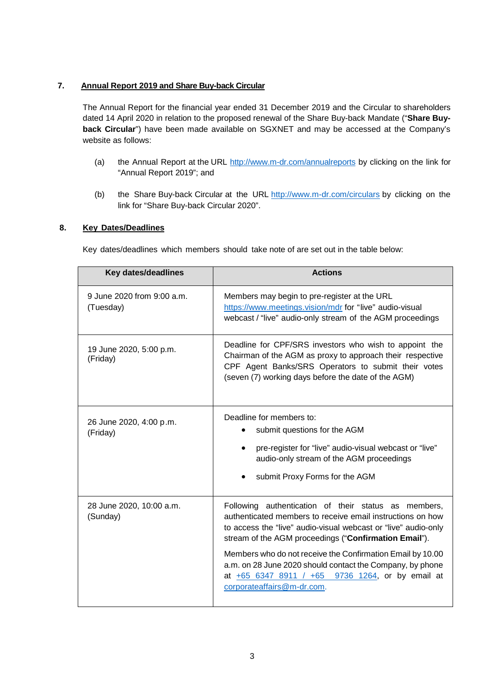## **7. Annual Report 2019 and Share Buy-back Circular**

The Annual Report for the financial year ended 31 December 2019 and the Circular to shareholders dated 14 April 2020 in relation to the proposed renewal of the Share Buy-back Mandate ("**Share Buyback Circular**") have been made available on SGXNET and may be accessed at the Company's website as follows:

- (a) the Annual Report at the URL <http://www.m-dr.com/annualreports> by clicking on the link for "Annual Report 2019"; and
- (b) the Share Buy-back Circular at the URL <http://www.m-dr.com/circulars> by clicking on the link for "Share Buy-back Circular 2020".

## **8. Key Dates/Deadlines**

Key dates/deadlines which members should take note of are set out in the table below:

| <b>Key dates/deadlines</b>              | <b>Actions</b>                                                                                                                                                                                                                                                                                                                                                                                                                                             |
|-----------------------------------------|------------------------------------------------------------------------------------------------------------------------------------------------------------------------------------------------------------------------------------------------------------------------------------------------------------------------------------------------------------------------------------------------------------------------------------------------------------|
| 9 June 2020 from 9:00 a.m.<br>(Tuesday) | Members may begin to pre-register at the URL<br>https://www.meetings.vision/mdr for "live" audio-visual<br>webcast / "live" audio-only stream of the AGM proceedings                                                                                                                                                                                                                                                                                       |
| 19 June 2020, 5:00 p.m.<br>(Friday)     | Deadline for CPF/SRS investors who wish to appoint the<br>Chairman of the AGM as proxy to approach their respective<br>CPF Agent Banks/SRS Operators to submit their votes<br>(seven (7) working days before the date of the AGM)                                                                                                                                                                                                                          |
| 26 June 2020, 4:00 p.m.<br>(Friday)     | Deadline for members to:<br>submit questions for the AGM<br>pre-register for "live" audio-visual webcast or "live"<br>audio-only stream of the AGM proceedings<br>submit Proxy Forms for the AGM                                                                                                                                                                                                                                                           |
| 28 June 2020, 10:00 a.m.<br>(Sunday)    | Following authentication of their status as members,<br>authenticated members to receive email instructions on how<br>to access the "live" audio-visual webcast or "live" audio-only<br>stream of the AGM proceedings ("Confirmation Email").<br>Members who do not receive the Confirmation Email by 10.00<br>a.m. on 28 June 2020 should contact the Company, by phone<br>at +65 6347 8911 / +65 9736 1264, or by email at<br>corporateaffairs@m-dr.com. |